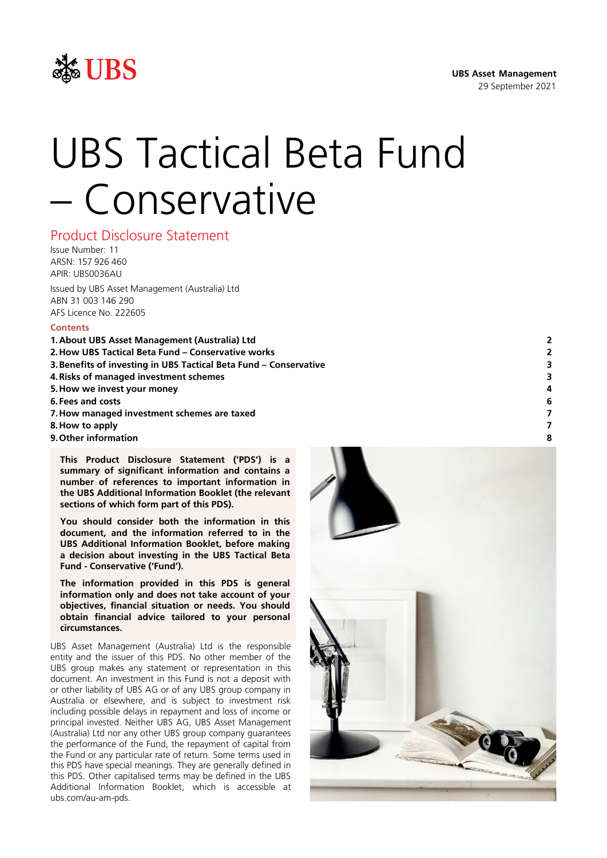

#### **UBS Asset Management** 29 September 2021

# UBS Tactical Beta Fund – Conservative

### Product Disclosure Statement

Issue Number: 11 ARSN: 157 926 460 APIR: UBS0036AU

Issued by UBS Asset Management (Australia) Ltd ABN 31 003 146 290 AFS Licence No. 222605

#### **Contents**

- **1[.About UBS Asset Management](#page-1-0) (Australia) Ltd 2**
- **2[.How UBS Tactical Beta Fund](#page-1-1) – Conservative works 2**
- **3[.Benefits of investing in UBS Tactical Beta Fund](#page-2-0) – Conservative 3**
- **4[.Risks of managed investment schemes](#page-2-1) 3**
- **5[.How we invest](#page-3-0) your money 4**
- **6[.Fees and costs](#page-5-0) 6**
- **7[.How managed investment schemes are](#page-6-0) taxed 7**
- **8.How [to apply](#page-6-1) 7**
- 

**This Product Disclosure Statement ('PDS') is a summary of significant information and contains a number of references to important information in the UBS Additional Information Booklet (the relevant sections of which form part of this PDS).**

**You should consider both the information in this document, and the information referred to in the UBS Additional Information Booklet, before making a decision about investing in the UBS Tactical Beta Fund - Conservative ('Fund').**

**The information provided in this PDS is general information only and does not take account of your objectives, financial situation or needs. You should obtain financial advice tailored to your personal circumstances.**

UBS Asset Management (Australia) Ltd is the responsible entity and the issuer of this PDS. No other member of the UBS group makes any statement or representation in this document. An investment in this Fund is not a deposit with or other liability of UBS AG or of any UBS group company in Australia or elsewhere, and is subject to investment risk including possible delays in repayment and loss of income or principal invested. Neither UBS AG, UBS Asset Management (Australia) Ltd nor any other UBS group company guarantees the performance of the Fund, the repayment of capital from the Fund or any particular rate of return. Some terms used in this PDS have special meanings. They are generally defined in this PDS. Other capitalised terms may be defined in the UBS Additional Information Booklet, which is accessible at ubs.com/au-am-pds.

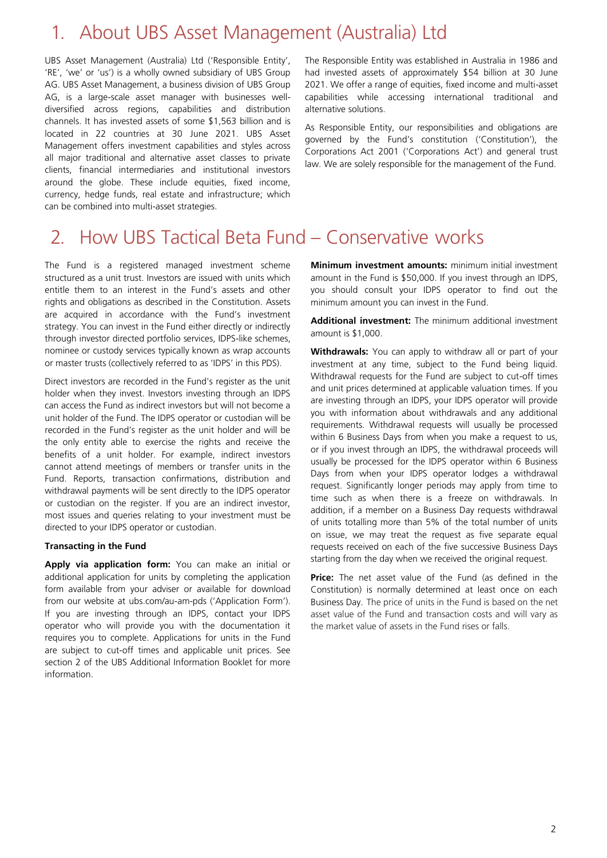### <span id="page-1-0"></span>1. About UBS Asset Management (Australia) Ltd

UBS Asset Management (Australia) Ltd ('Responsible Entity', 'RE', 'we' or 'us') is a wholly owned subsidiary of UBS Group AG. UBS Asset Management, a business division of UBS Group AG, is a large-scale asset manager with businesses welldiversified across regions, capabilities and distribution channels. It has invested assets of some \$1,563 billion and is located in 22 countries at 30 June 2021. UBS Asset Management offers investment capabilities and styles across all major traditional and alternative asset classes to private clients, financial intermediaries and institutional investors around the globe. These include equities, fixed income, currency, hedge funds, real estate and infrastructure; which can be combined into multi-asset strategies.

The Responsible Entity was established in Australia in 1986 and had invested assets of approximately \$54 billion at 30 June 2021. We offer a range of equities, fixed income and multi-asset capabilities while accessing international traditional and alternative solutions.

As Responsible Entity, our responsibilities and obligations are governed by the Fund's constitution ('Constitution'), the Corporations Act 2001 ('Corporations Act') and general trust law. We are solely responsible for the management of the Fund.

### <span id="page-1-1"></span>2. How UBS Tactical Beta Fund – Conservative works

The Fund is a registered managed investment scheme structured as a unit trust. Investors are issued with units which entitle them to an interest in the Fund's assets and other rights and obligations as described in the Constitution. Assets are acquired in accordance with the Fund's investment strategy. You can invest in the Fund either directly or indirectly through investor directed portfolio services, IDPS-like schemes, nominee or custody services typically known as wrap accounts or master trusts (collectively referred to as 'IDPS' in this PDS).

Direct investors are recorded in the Fund's register as the unit holder when they invest. Investors investing through an IDPS can access the Fund as indirect investors but will not become a unit holder of the Fund. The IDPS operator or custodian will be recorded in the Fund's register as the unit holder and will be the only entity able to exercise the rights and receive the benefits of a unit holder. For example, indirect investors cannot attend meetings of members or transfer units in the Fund. Reports, transaction confirmations, distribution and withdrawal payments will be sent directly to the IDPS operator or custodian on the register. If you are an indirect investor, most issues and queries relating to your investment must be directed to your IDPS operator or custodian.

#### **Transacting in the Fund**

Apply via application form: You can make an initial or additional application for units by completing the application form available from your adviser or available for download from our website at ubs.com/au-am-pds ('Application Form'). If you are investing through an IDPS, contact your IDPS operator who will provide you with the documentation it requires you to complete. Applications for units in the Fund are subject to cut-off times and applicable unit prices. See section 2 of the UBS Additional Information Booklet for more information.

**Minimum investment amounts:** minimum initial investment amount in the Fund is \$50,000. If you invest through an IDPS, you should consult your IDPS operator to find out the minimum amount you can invest in the Fund.

**Additional investment:** The minimum additional investment amount is \$1,000.

**Withdrawals:** You can apply to withdraw all or part of your investment at any time, subject to the Fund being liquid. Withdrawal requests for the Fund are subject to cut-off times and unit prices determined at applicable valuation times. If you are investing through an IDPS, your IDPS operator will provide you with information about withdrawals and any additional requirements. Withdrawal requests will usually be processed within 6 Business Days from when you make a request to us, or if you invest through an IDPS, the withdrawal proceeds will usually be processed for the IDPS operator within 6 Business Days from when your IDPS operator lodges a withdrawal request. Significantly longer periods may apply from time to time such as when there is a freeze on withdrawals. In addition, if a member on a Business Day requests withdrawal of units totalling more than 5% of the total number of units on issue, we may treat the request as five separate equal requests received on each of the five successive Business Days starting from the day when we received the original request.

**Price:** The net asset value of the Fund (as defined in the Constitution) is normally determined at least once on each Business Day. The price of units in the Fund is based on the net asset value of the Fund and transaction costs and will vary as the market value of assets in the Fund rises or falls.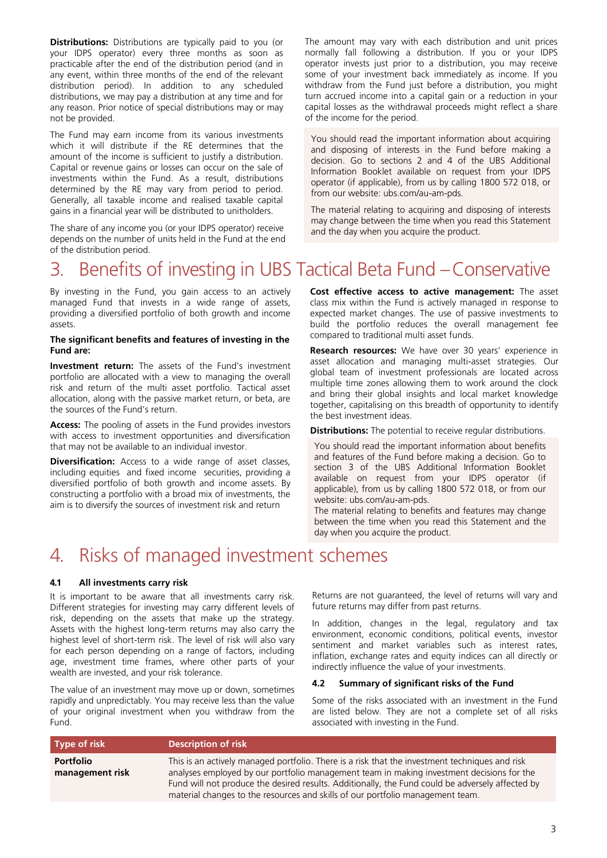**Distributions:** Distributions are typically paid to you (or your IDPS operator) every three months as soon as practicable after the end of the distribution period (and in any event, within three months of the end of the relevant distribution period). In addition to any scheduled distributions, we may pay a distribution at any time and for any reason. Prior notice of special distributions may or may not be provided.

The Fund may earn income from its various investments which it will distribute if the RE determines that the amount of the income is sufficient to justify a distribution. Capital or revenue gains or losses can occur on the sale of investments within the Fund. As a result, distributions determined by the RE may vary from period to period. Generally, all taxable income and realised taxable capital gains in a financial year will be distributed to unitholders.

The share of any income you (or your IDPS operator) receive depends on the number of units held in the Fund at the end of the distribution period.

### <span id="page-2-0"></span>3. Benefits of investing in UBS Tactical Beta Fund –Conservative

By investing in the Fund, you gain access to an actively managed Fund that invests in a wide range of assets, providing a diversified portfolio of both growth and income assets.

#### **The significant benefits and features of investing in the Fund are:**

**Investment return:** The assets of the Fund's investment portfolio are allocated with a view to managing the overall risk and return of the multi asset portfolio. Tactical asset allocation, along with the passive market return, or beta, are the sources of the Fund's return.

**Access:** The pooling of assets in the Fund provides investors with access to investment opportunities and diversification that may not be available to an individual investor.

**Diversification:** Access to a wide range of asset classes, including equities and fixed income securities, providing a diversified portfolio of both growth and income assets. By constructing a portfolio with a broad mix of investments, the aim is to diversify the sources of investment risk and return

**Cost effective access to active management:** The asset class mix within the Fund is actively managed in response to expected market changes. The use of passive investments to build the portfolio reduces the overall management fee compared to traditional multi asset funds.

The amount may vary with each distribution and unit prices normally fall following a distribution. If you or your IDPS operator invests just prior to a distribution, you may receive some of your investment back immediately as income. If you withdraw from the Fund just before a distribution, you might turn accrued income into a capital gain or a reduction in your capital losses as the withdrawal proceeds might reflect a share

You should read the important information about acquiring and disposing of interests in the Fund before making a decision. Go to sections 2 and 4 of the UBS Additional Information Booklet available on request from your IDPS operator (if applicable), from us by calling 1800 572 018, or

The material relating to acquiring and disposing of interests may change between the time when you read this Statement

of the income for the period.

from our website: ubs.com/au-am-pds.

and the day when you acquire the product.

**Research resources:** We have over 30 years' experience in asset allocation and managing multi-asset strategies. Our global team of investment professionals are located across multiple time zones allowing them to work around the clock and bring their global insights and local market knowledge together, capitalising on this breadth of opportunity to identify the best investment ideas.

**Distributions:** The potential to receive regular distributions.

You should read the important information about benefits and features of the Fund before making a decision. Go to section 3 of the UBS Additional Information Booklet available on request from your IDPS operator (if applicable), from us by calling 1800 572 018, or from our website: ubs.com/au-am-pds.

The material relating to benefits and features may change between the time when you read this Statement and the day when you acquire the product.

### <span id="page-2-1"></span>4. Risks of managed investment schemes

#### **4.1 All investments carry risk**

It is important to be aware that all investments carry risk. Different strategies for investing may carry different levels of risk, depending on the assets that make up the strategy. Assets with the highest long-term returns may also carry the highest level of short-term risk. The level of risk will also vary for each person depending on a range of factors, including age, investment time frames, where other parts of your wealth are invested, and your risk tolerance.

The value of an investment may move up or down, sometimes rapidly and unpredictably. You may receive less than the value of your original investment when you withdraw from the Fund.

Returns are not guaranteed, the level of returns will vary and future returns may differ from past returns.

In addition, changes in the legal, regulatory and tax environment, economic conditions, political events, investor sentiment and market variables such as interest rates, inflation, exchange rates and equity indices can all directly or indirectly influence the value of your investments.

#### **4.2 Summary of significant risks of the Fund**

Some of the risks associated with an investment in the Fund are listed below. They are not a complete set of all risks associated with investing in the Fund.

| <b>Type of risk</b>                 | <b>Description of risk</b>                                                                                                                                                                                                                                                                                                                                                        |
|-------------------------------------|-----------------------------------------------------------------------------------------------------------------------------------------------------------------------------------------------------------------------------------------------------------------------------------------------------------------------------------------------------------------------------------|
| <b>Portfolio</b><br>management risk | This is an actively managed portfolio. There is a risk that the investment techniques and risk<br>analyses employed by our portfolio management team in making investment decisions for the<br>Fund will not produce the desired results. Additionally, the Fund could be adversely affected by<br>material changes to the resources and skills of our portfolio management team. |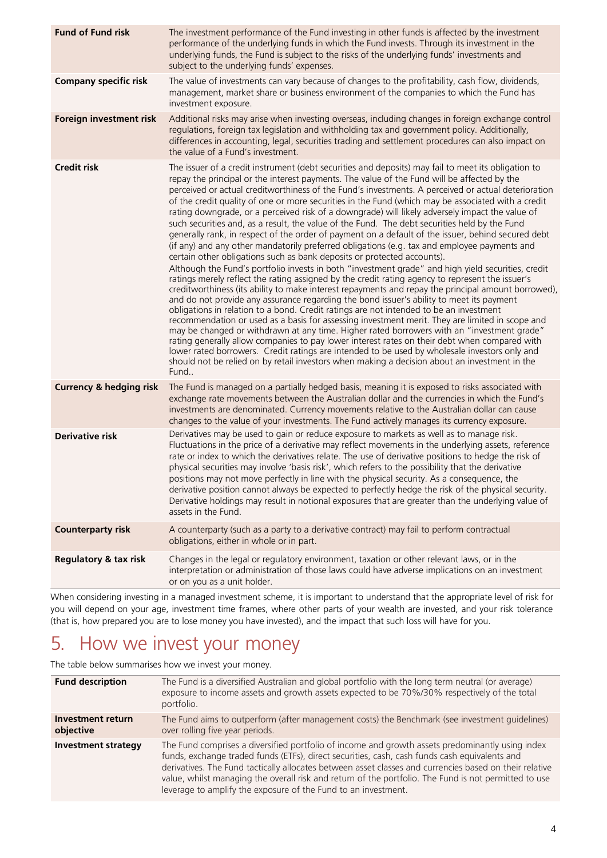| <b>Fund of Fund risk</b>           | The investment performance of the Fund investing in other funds is affected by the investment<br>performance of the underlying funds in which the Fund invests. Through its investment in the<br>underlying funds, the Fund is subject to the risks of the underlying funds' investments and<br>subject to the underlying funds' expenses.                                                                                                                                                                                                                                                                                                                                                                                                                                                                                                                                                                                                                                                                                                                                                                                                                                                                                                                                                                                                                                                                                                                                                                                                                                                                                                                                                                                                                                                                                                                                                                              |  |
|------------------------------------|-------------------------------------------------------------------------------------------------------------------------------------------------------------------------------------------------------------------------------------------------------------------------------------------------------------------------------------------------------------------------------------------------------------------------------------------------------------------------------------------------------------------------------------------------------------------------------------------------------------------------------------------------------------------------------------------------------------------------------------------------------------------------------------------------------------------------------------------------------------------------------------------------------------------------------------------------------------------------------------------------------------------------------------------------------------------------------------------------------------------------------------------------------------------------------------------------------------------------------------------------------------------------------------------------------------------------------------------------------------------------------------------------------------------------------------------------------------------------------------------------------------------------------------------------------------------------------------------------------------------------------------------------------------------------------------------------------------------------------------------------------------------------------------------------------------------------------------------------------------------------------------------------------------------------|--|
| <b>Company specific risk</b>       | The value of investments can vary because of changes to the profitability, cash flow, dividends,<br>management, market share or business environment of the companies to which the Fund has<br>investment exposure.                                                                                                                                                                                                                                                                                                                                                                                                                                                                                                                                                                                                                                                                                                                                                                                                                                                                                                                                                                                                                                                                                                                                                                                                                                                                                                                                                                                                                                                                                                                                                                                                                                                                                                     |  |
| <b>Foreign investment risk</b>     | Additional risks may arise when investing overseas, including changes in foreign exchange control<br>regulations, foreign tax legislation and withholding tax and government policy. Additionally,<br>differences in accounting, legal, securities trading and settlement procedures can also impact on<br>the value of a Fund's investment.                                                                                                                                                                                                                                                                                                                                                                                                                                                                                                                                                                                                                                                                                                                                                                                                                                                                                                                                                                                                                                                                                                                                                                                                                                                                                                                                                                                                                                                                                                                                                                            |  |
| <b>Credit risk</b>                 | The issuer of a credit instrument (debt securities and deposits) may fail to meet its obligation to<br>repay the principal or the interest payments. The value of the Fund will be affected by the<br>perceived or actual creditworthiness of the Fund's investments. A perceived or actual deterioration<br>of the credit quality of one or more securities in the Fund (which may be associated with a credit<br>rating downgrade, or a perceived risk of a downgrade) will likely adversely impact the value of<br>such securities and, as a result, the value of the Fund. The debt securities held by the Fund<br>generally rank, in respect of the order of payment on a default of the issuer, behind secured debt<br>(if any) and any other mandatorily preferred obligations (e.g. tax and employee payments and<br>certain other obligations such as bank deposits or protected accounts).<br>Although the Fund's portfolio invests in both "investment grade" and high yield securities, credit<br>ratings merely reflect the rating assigned by the credit rating agency to represent the issuer's<br>creditworthiness (its ability to make interest repayments and repay the principal amount borrowed),<br>and do not provide any assurance regarding the bond issuer's ability to meet its payment<br>obligations in relation to a bond. Credit ratings are not intended to be an investment<br>recommendation or used as a basis for assessing investment merit. They are limited in scope and<br>may be changed or withdrawn at any time. Higher rated borrowers with an "investment grade"<br>rating generally allow companies to pay lower interest rates on their debt when compared with<br>lower rated borrowers. Credit ratings are intended to be used by wholesale investors only and<br>should not be relied on by retail investors when making a decision about an investment in the<br>Fund |  |
| <b>Currency &amp; hedging risk</b> | The Fund is managed on a partially hedged basis, meaning it is exposed to risks associated with<br>exchange rate movements between the Australian dollar and the currencies in which the Fund's<br>investments are denominated. Currency movements relative to the Australian dollar can cause<br>changes to the value of your investments. The Fund actively manages its currency exposure.                                                                                                                                                                                                                                                                                                                                                                                                                                                                                                                                                                                                                                                                                                                                                                                                                                                                                                                                                                                                                                                                                                                                                                                                                                                                                                                                                                                                                                                                                                                            |  |
| <b>Derivative risk</b>             | Derivatives may be used to gain or reduce exposure to markets as well as to manage risk.<br>Fluctuations in the price of a derivative may reflect movements in the underlying assets, reference<br>rate or index to which the derivatives relate. The use of derivative positions to hedge the risk of<br>physical securities may involve 'basis risk', which refers to the possibility that the derivative<br>positions may not move perfectly in line with the physical security. As a consequence, the<br>derivative position cannot always be expected to perfectly hedge the risk of the physical security.<br>Derivative holdings may result in notional exposures that are greater than the underlying value of<br>assets in the Fund.                                                                                                                                                                                                                                                                                                                                                                                                                                                                                                                                                                                                                                                                                                                                                                                                                                                                                                                                                                                                                                                                                                                                                                           |  |
| <b>Counterparty risk</b>           | A counterparty (such as a party to a derivative contract) may fail to perform contractual<br>obligations, either in whole or in part.                                                                                                                                                                                                                                                                                                                                                                                                                                                                                                                                                                                                                                                                                                                                                                                                                                                                                                                                                                                                                                                                                                                                                                                                                                                                                                                                                                                                                                                                                                                                                                                                                                                                                                                                                                                   |  |
| <b>Regulatory &amp; tax risk</b>   | Changes in the legal or regulatory environment, taxation or other relevant laws, or in the<br>interpretation or administration of those laws could have adverse implications on an investment<br>or on you as a unit holder.                                                                                                                                                                                                                                                                                                                                                                                                                                                                                                                                                                                                                                                                                                                                                                                                                                                                                                                                                                                                                                                                                                                                                                                                                                                                                                                                                                                                                                                                                                                                                                                                                                                                                            |  |

When considering investing in a managed investment scheme, it is important to understand that the appropriate level of risk for you will depend on your age, investment time frames, where other parts of your wealth are invested, and your risk tolerance (that is, how prepared you are to lose money you have invested), and the impact that such loss will have for you.

## <span id="page-3-0"></span>5. How we invest your money

The table below summarises how we invest your money.

| <b>Fund description</b>        | The Fund is a diversified Australian and global portfolio with the long term neutral (or average)<br>exposure to income assets and growth assets expected to be 70%/30% respectively of the total<br>portfolio.                                                                                                                                                                                                                                                                         |
|--------------------------------|-----------------------------------------------------------------------------------------------------------------------------------------------------------------------------------------------------------------------------------------------------------------------------------------------------------------------------------------------------------------------------------------------------------------------------------------------------------------------------------------|
| Investment return<br>objective | The Fund aims to outperform (after management costs) the Benchmark (see investment quidelines)<br>over rolling five year periods.                                                                                                                                                                                                                                                                                                                                                       |
| <b>Investment strategy</b>     | The Fund comprises a diversified portfolio of income and growth assets predominantly using index<br>funds, exchange traded funds (ETFs), direct securities, cash, cash funds cash equivalents and<br>derivatives. The Fund tactically allocates between asset classes and currencies based on their relative<br>value, whilst managing the overall risk and return of the portfolio. The Fund is not permitted to use<br>leverage to amplify the exposure of the Fund to an investment. |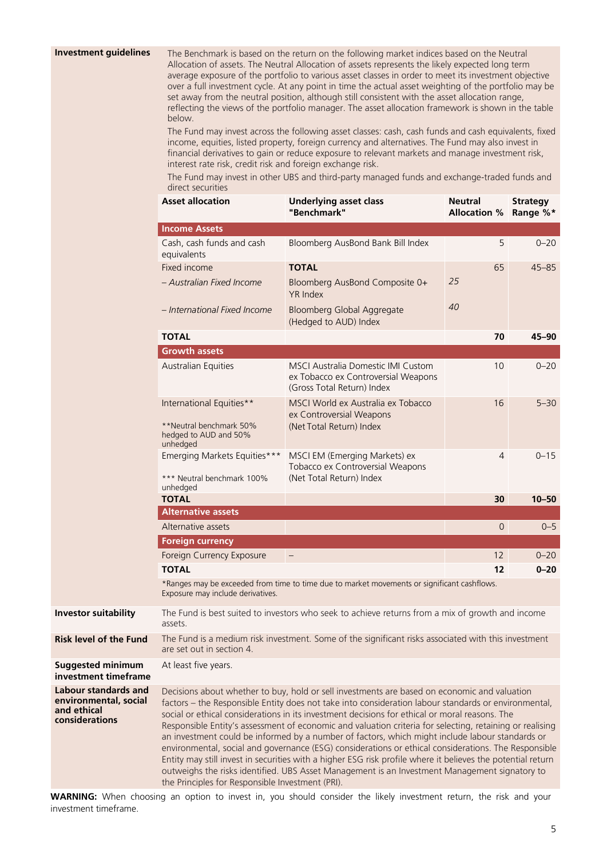**Investment guidelines** The Benchmark is based on the return on the following market indices based on the Neutral Allocation of assets. The Neutral Allocation of assets represents the likely expected long term average exposure of the portfolio to various asset classes in order to meet its investment objective over a full investment cycle. At any point in time the actual asset weighting of the portfolio may be set away from the neutral position, although still consistent with the asset allocation range, reflecting the views of the portfolio manager. The asset allocation framework is shown in the table below.

> The Fund may invest across the following asset classes: cash, cash funds and cash equivalents, fixed income, equities, listed property, foreign currency and alternatives. The Fund may also invest in financial derivatives to gain or reduce exposure to relevant markets and manage investment risk, interest rate risk, credit risk and foreign exchange risk.

> The Fund may invest in other UBS and third-party managed funds and exchange-traded funds and direct securities

|                                                                                       | <b>Asset allocation</b>                                                                                                                                                                                                                                                                                                                                                                                                                                                                                                                                                                                                                                                                                                                                                                                                                                                                           | <b>Underlying asset class</b><br>"Benchmark"                                                            | <b>Neutral</b><br><b>Allocation %</b> | <b>Strategy</b><br>Range %* |
|---------------------------------------------------------------------------------------|---------------------------------------------------------------------------------------------------------------------------------------------------------------------------------------------------------------------------------------------------------------------------------------------------------------------------------------------------------------------------------------------------------------------------------------------------------------------------------------------------------------------------------------------------------------------------------------------------------------------------------------------------------------------------------------------------------------------------------------------------------------------------------------------------------------------------------------------------------------------------------------------------|---------------------------------------------------------------------------------------------------------|---------------------------------------|-----------------------------|
|                                                                                       | <b>Income Assets</b>                                                                                                                                                                                                                                                                                                                                                                                                                                                                                                                                                                                                                                                                                                                                                                                                                                                                              |                                                                                                         |                                       |                             |
|                                                                                       | Cash, cash funds and cash<br>equivalents                                                                                                                                                                                                                                                                                                                                                                                                                                                                                                                                                                                                                                                                                                                                                                                                                                                          | Bloomberg AusBond Bank Bill Index                                                                       | 5                                     | $0 - 20$                    |
|                                                                                       | Fixed income                                                                                                                                                                                                                                                                                                                                                                                                                                                                                                                                                                                                                                                                                                                                                                                                                                                                                      | <b>TOTAL</b>                                                                                            | 65                                    | $45 - 85$                   |
|                                                                                       | - Australian Fixed Income                                                                                                                                                                                                                                                                                                                                                                                                                                                                                                                                                                                                                                                                                                                                                                                                                                                                         | Bloomberg AusBond Composite 0+<br>YR Index                                                              | 25                                    |                             |
|                                                                                       | - International Fixed Income                                                                                                                                                                                                                                                                                                                                                                                                                                                                                                                                                                                                                                                                                                                                                                                                                                                                      | Bloomberg Global Aggregate<br>(Hedged to AUD) Index                                                     | 40                                    |                             |
|                                                                                       | <b>TOTAL</b>                                                                                                                                                                                                                                                                                                                                                                                                                                                                                                                                                                                                                                                                                                                                                                                                                                                                                      |                                                                                                         | 70                                    | $45 - 90$                   |
|                                                                                       | <b>Growth assets</b>                                                                                                                                                                                                                                                                                                                                                                                                                                                                                                                                                                                                                                                                                                                                                                                                                                                                              |                                                                                                         |                                       |                             |
|                                                                                       | Australian Equities                                                                                                                                                                                                                                                                                                                                                                                                                                                                                                                                                                                                                                                                                                                                                                                                                                                                               | MSCI Australia Domestic IMI Custom<br>ex Tobacco ex Controversial Weapons<br>(Gross Total Return) Index | 10                                    | $0 - 20$                    |
|                                                                                       | International Equities**<br>**Neutral benchmark 50%<br>hedged to AUD and 50%                                                                                                                                                                                                                                                                                                                                                                                                                                                                                                                                                                                                                                                                                                                                                                                                                      | MSCI World ex Australia ex Tobacco<br>ex Controversial Weapons<br>(Net Total Return) Index              | 16                                    | $5 - 30$                    |
|                                                                                       | unhedged                                                                                                                                                                                                                                                                                                                                                                                                                                                                                                                                                                                                                                                                                                                                                                                                                                                                                          |                                                                                                         |                                       |                             |
|                                                                                       | Emerging Markets Equities***<br>*** Neutral benchmark 100%                                                                                                                                                                                                                                                                                                                                                                                                                                                                                                                                                                                                                                                                                                                                                                                                                                        | MSCI EM (Emerging Markets) ex<br>Tobacco ex Controversial Weapons<br>(Net Total Return) Index           | 4                                     | $0 - 15$                    |
|                                                                                       | unhedged                                                                                                                                                                                                                                                                                                                                                                                                                                                                                                                                                                                                                                                                                                                                                                                                                                                                                          |                                                                                                         |                                       |                             |
|                                                                                       | <b>TOTAL</b>                                                                                                                                                                                                                                                                                                                                                                                                                                                                                                                                                                                                                                                                                                                                                                                                                                                                                      |                                                                                                         | 30                                    | $10 - 50$                   |
|                                                                                       | <b>Alternative assets</b>                                                                                                                                                                                                                                                                                                                                                                                                                                                                                                                                                                                                                                                                                                                                                                                                                                                                         |                                                                                                         |                                       |                             |
|                                                                                       | Alternative assets                                                                                                                                                                                                                                                                                                                                                                                                                                                                                                                                                                                                                                                                                                                                                                                                                                                                                |                                                                                                         | $\circ$                               | $0 - 5$                     |
|                                                                                       | <b>Foreign currency</b>                                                                                                                                                                                                                                                                                                                                                                                                                                                                                                                                                                                                                                                                                                                                                                                                                                                                           |                                                                                                         | 12                                    | $0 - 20$                    |
|                                                                                       | Foreign Currency Exposure<br><b>TOTAL</b>                                                                                                                                                                                                                                                                                                                                                                                                                                                                                                                                                                                                                                                                                                                                                                                                                                                         |                                                                                                         | 12                                    | $0 - 20$                    |
|                                                                                       | Exposure may include derivatives.                                                                                                                                                                                                                                                                                                                                                                                                                                                                                                                                                                                                                                                                                                                                                                                                                                                                 | *Ranges may be exceeded from time to time due to market movements or significant cashflows.             |                                       |                             |
| <b>Investor suitability</b>                                                           | The Fund is best suited to investors who seek to achieve returns from a mix of growth and income<br>assets.                                                                                                                                                                                                                                                                                                                                                                                                                                                                                                                                                                                                                                                                                                                                                                                       |                                                                                                         |                                       |                             |
| <b>Risk level of the Fund</b>                                                         | The Fund is a medium risk investment. Some of the significant risks associated with this investment<br>are set out in section 4.                                                                                                                                                                                                                                                                                                                                                                                                                                                                                                                                                                                                                                                                                                                                                                  |                                                                                                         |                                       |                             |
| <b>Suggested minimum</b><br>investment timeframe                                      | At least five years.                                                                                                                                                                                                                                                                                                                                                                                                                                                                                                                                                                                                                                                                                                                                                                                                                                                                              |                                                                                                         |                                       |                             |
| <b>Labour standards and</b><br>environmental, social<br>and ethical<br>considerations | Decisions about whether to buy, hold or sell investments are based on economic and valuation<br>factors - the Responsible Entity does not take into consideration labour standards or environmental,<br>social or ethical considerations in its investment decisions for ethical or moral reasons. The<br>Responsible Entity's assessment of economic and valuation criteria for selecting, retaining or realising<br>an investment could be informed by a number of factors, which might include labour standards or<br>environmental, social and governance (ESG) considerations or ethical considerations. The Responsible<br>Entity may still invest in securities with a higher ESG risk profile where it believes the potential return<br>outweighs the risks identified. UBS Asset Management is an Investment Management signatory to<br>the Principles for Responsible Investment (PRI). |                                                                                                         |                                       |                             |

**WARNING:** When choosing an option to invest in, you should consider the likely investment return, the risk and your investment timeframe.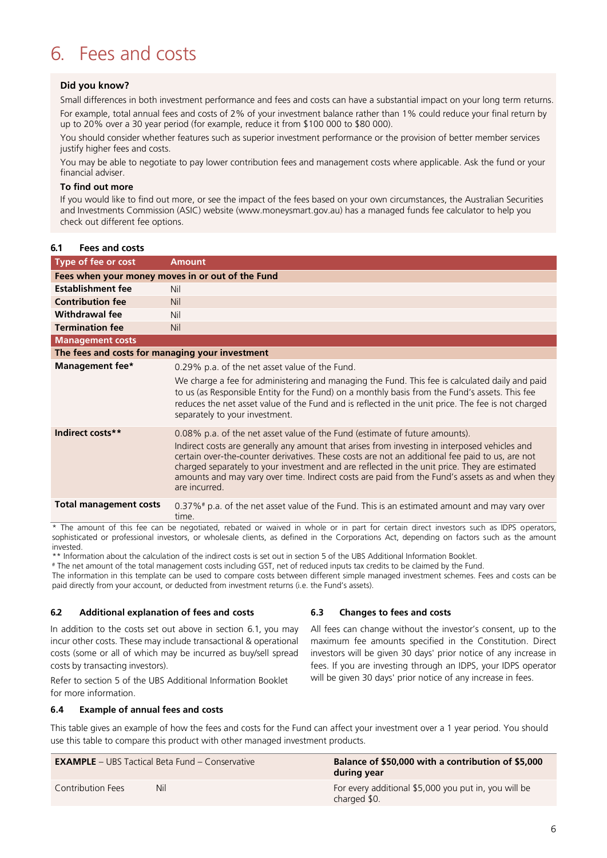### <span id="page-5-0"></span>6. Fees and costs

#### **Did you know?**

Small differences in both investment performance and fees and costs can have a substantial impact on your long term returns. For example, total annual fees and costs of 2% of your investment balance rather than 1% could reduce your final return by up to 20% over a 30 year period (for example, reduce it from \$100 000 to \$80 000).

You should consider whether features such as superior investment performance or the provision of better member services justify higher fees and costs.

You may be able to negotiate to pay lower contribution fees and management costs where applicable. Ask the fund or your financial adviser.

#### **To find out more**

**6.1 Fees and costs**

If you would like to find out more, or see the impact of the fees based on your own circumstances, the Australian Securities and Investments Commission (ASIC) website (www.moneysmart.gov.au) has a managed funds fee calculator to help you check out different fee options.

| . ces and costs                                                    |                                                                                                                                                                                                                                                                                                                                                                                                                                                                                                      |
|--------------------------------------------------------------------|------------------------------------------------------------------------------------------------------------------------------------------------------------------------------------------------------------------------------------------------------------------------------------------------------------------------------------------------------------------------------------------------------------------------------------------------------------------------------------------------------|
| Type of fee or cost                                                | <b>Amount</b>                                                                                                                                                                                                                                                                                                                                                                                                                                                                                        |
| Fees when your money moves in or out of the Fund                   |                                                                                                                                                                                                                                                                                                                                                                                                                                                                                                      |
| <b>Establishment fee</b>                                           | Nil                                                                                                                                                                                                                                                                                                                                                                                                                                                                                                  |
| <b>Contribution fee</b>                                            | Nil                                                                                                                                                                                                                                                                                                                                                                                                                                                                                                  |
| <b>Withdrawal fee</b>                                              | Nil                                                                                                                                                                                                                                                                                                                                                                                                                                                                                                  |
| <b>Termination fee</b>                                             | Nil                                                                                                                                                                                                                                                                                                                                                                                                                                                                                                  |
| <b>Management costs</b>                                            |                                                                                                                                                                                                                                                                                                                                                                                                                                                                                                      |
| The fees and costs for managing your investment                    |                                                                                                                                                                                                                                                                                                                                                                                                                                                                                                      |
| Management fee*                                                    | 0.29% p.a. of the net asset value of the Fund.                                                                                                                                                                                                                                                                                                                                                                                                                                                       |
|                                                                    | We charge a fee for administering and managing the Fund. This fee is calculated daily and paid<br>to us (as Responsible Entity for the Fund) on a monthly basis from the Fund's assets. This fee<br>reduces the net asset value of the Fund and is reflected in the unit price. The fee is not charged<br>separately to your investment.                                                                                                                                                             |
| Indirect costs**                                                   | 0.08% p.a. of the net asset value of the Fund (estimate of future amounts).<br>Indirect costs are generally any amount that arises from investing in interposed vehicles and<br>certain over-the-counter derivatives. These costs are not an additional fee paid to us, are not<br>charged separately to your investment and are reflected in the unit price. They are estimated<br>amounts and may vary over time. Indirect costs are paid from the Fund's assets as and when they<br>are incurred. |
| <b>Total management costs</b><br>$\mathcal{L} = \{1, 2, \ldots \}$ | 0.37%# p.a. of the net asset value of the Fund. This is an estimated amount and may vary over<br>time.<br>$\sim$ $\sim$<br><b>Contract Contract</b><br><b>Contract Contract Contract</b>                                                                                                                                                                                                                                                                                                             |

\* The amount of this fee can be negotiated, rebated or waived in whole or in part for certain direct investors such as IDPS operators, sophisticated or professional investors, or wholesale clients, as defined in the Corporations Act, depending on factors such as the amount invested.

\*\* Information about the calculation of the indirect costs is set out in section 5 of the UBS Additional Information Booklet.

# The net amount of the total management costs including GST, net of reduced inputs tax credits to be claimed by the Fund. The information in this template can be used to compare costs between different simple managed investment schemes. Fees and costs can be paid directly from your account, or deducted from investment returns (i.e. the Fund's assets).

#### **6.2 Additional explanation of fees and costs**

In addition to the costs set out above in section 6.1, you may incur other costs. These may include transactional & operational costs (some or all of which may be incurred as buy/sell spread costs by transacting investors).

Refer to section 5 of the UBS Additional Information Booklet for more information.

#### **6.4 Example of annual fees and costs**

#### **6.3 Changes to fees and costs**

All fees can change without the investor's consent, up to the maximum fee amounts specified in the Constitution. Direct investors will be given 30 days' prior notice of any increase in fees. If you are investing through an IDPS, your IDPS operator will be given 30 days' prior notice of any increase in fees.

This table gives an example of how the fees and costs for the Fund can affect your investment over a 1 year period. You should use this table to compare this product with other managed investment products.

|                   | <b>EXAMPLE</b> – UBS Tactical Beta Fund – Conservative | Balance of \$50,000 with a contribution of \$5,000<br>during year    |
|-------------------|--------------------------------------------------------|----------------------------------------------------------------------|
| Contribution Fees | Nil                                                    | For every additional \$5,000 you put in, you will be<br>charged \$0. |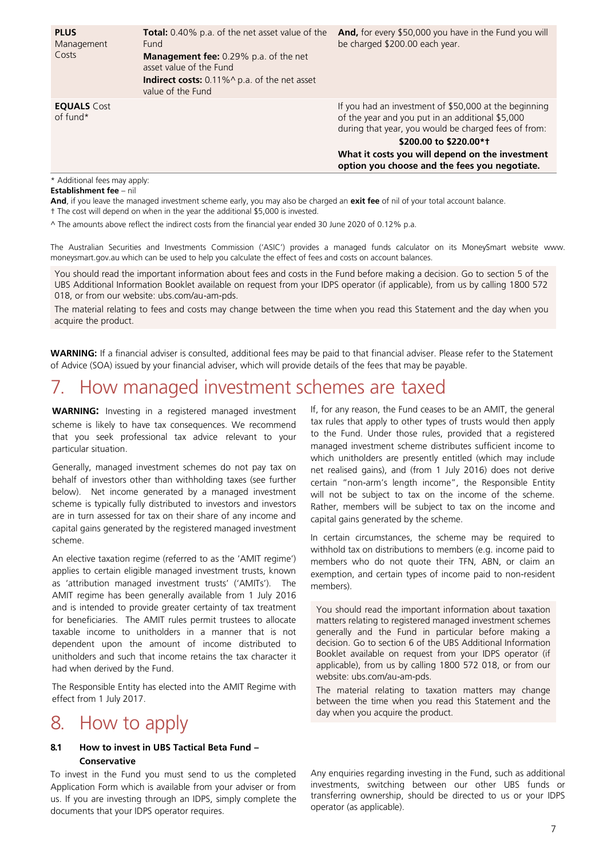| <b>PLUS</b><br>Management<br>Costs | <b>Total:</b> 0.40% p.a. of the net asset value of the<br>Fund<br><b>Management fee:</b> 0.29% p.a. of the net<br>asset value of the Fund<br>Indirect costs: 0.11%^ p.a. of the net asset<br>value of the Fund | <b>And,</b> for every \$50,000 you have in the Fund you will<br>be charged \$200.00 each year.                                                                                                                                                                                                  |
|------------------------------------|----------------------------------------------------------------------------------------------------------------------------------------------------------------------------------------------------------------|-------------------------------------------------------------------------------------------------------------------------------------------------------------------------------------------------------------------------------------------------------------------------------------------------|
| <b>EQUALS</b> Cost<br>of fund $*$  |                                                                                                                                                                                                                | If you had an investment of \$50,000 at the beginning<br>of the year and you put in an additional \$5,000<br>during that year, you would be charged fees of from:<br>\$200,00 to \$220,00*1<br>What it costs you will depend on the investment<br>option you choose and the fees you negotiate. |
| * Additional fees may apply:       |                                                                                                                                                                                                                |                                                                                                                                                                                                                                                                                                 |

#### **Establishment fee** – nil

**And**, if you leave the managed investment scheme early, you may also be charged an **exit fee** of nil of your total account balance. † The cost will depend on when in the year the additional \$5,000 is invested.

^ The amounts above reflect the indirect costs from the financial year ended 30 June 2020 of 0.12% p.a.

The Australian Securities and Investments Commission ('ASIC') provides a managed funds calculator on its MoneySmart website [www.](http://www.moneysmart.gov.au/) [moneysmart.gov.au w](http://www.moneysmart.gov.au/)hich can be used to help you calculate the effect of fees and costs on account balances.

You should read the important information about fees and costs in the Fund before making a decision. Go to section 5 of the UBS Additional Information Booklet available on request from your IDPS operator (if applicable), from us by calling 1800 572 018, or from our website: ubs.com/au-am-pds.

The material relating to fees and costs may change between the time when you read this Statement and the day when you acquire the product.

**WARNING:** If a financial adviser is consulted, additional fees may be paid to that financial adviser. Please refer to the Statement of Advice (SOA) issued by your financial adviser, which will provide details of the fees that may be payable.

### <span id="page-6-0"></span>7. How managed investment schemes are taxed

**WARNING:** Investing in a registered managed investment scheme is likely to have tax consequences. We recommend that you seek professional tax advice relevant to your particular situation.

Generally, managed investment schemes do not pay tax on behalf of investors other than withholding taxes (see further below). Net income generated by a managed investment scheme is typically fully distributed to investors and investors are in turn assessed for tax on their share of any income and capital gains generated by the registered managed investment scheme.

An elective taxation regime (referred to as the 'AMIT regime') applies to certain eligible managed investment trusts, known as 'attribution managed investment trusts' ('AMITs'). The AMIT regime has been generally available from 1 July 2016 and is intended to provide greater certainty of tax treatment for beneficiaries. The AMIT rules permit trustees to allocate taxable income to unitholders in a manner that is not dependent upon the amount of income distributed to unitholders and such that income retains the tax character it had when derived by the Fund.

The Responsible Entity has elected into the AMIT Regime with effect from 1 July 2017.

### <span id="page-6-1"></span>8. How to apply

#### **8.1 How to invest in UBS Tactical Beta Fund – Conservative**

To invest in the Fund you must send to us the completed Application Form which is available from your adviser or from us. If you are investing through an IDPS, simply complete the documents that your IDPS operator requires.

If, for any reason, the Fund ceases to be an AMIT, the general tax rules that apply to other types of trusts would then apply to the Fund. Under those rules, provided that a registered managed investment scheme distributes sufficient income to which unitholders are presently entitled (which may include net realised gains), and (from 1 July 2016) does not derive certain "non-arm's length income", the Responsible Entity will not be subject to tax on the income of the scheme. Rather, members will be subject to tax on the income and capital gains generated by the scheme.

In certain circumstances, the scheme may be required to withhold tax on distributions to members (e.g. income paid to members who do not quote their TFN, ABN, or claim an exemption, and certain types of income paid to non-resident members).

You should read the important information about taxation matters relating to registered managed investment schemes generally and the Fund in particular before making a decision. Go to section 6 of the UBS Additional Information Booklet available on request from your IDPS operator (if applicable), from us by calling 1800 572 018, or from our website: ubs.com/au-am-pds.

The material relating to taxation matters may change between the time when you read this Statement and the day when you acquire the product.

Any enquiries regarding investing in the Fund, such as additional investments, switching between our other UBS funds or transferring ownership, should be directed to us or your IDPS operator (as applicable).